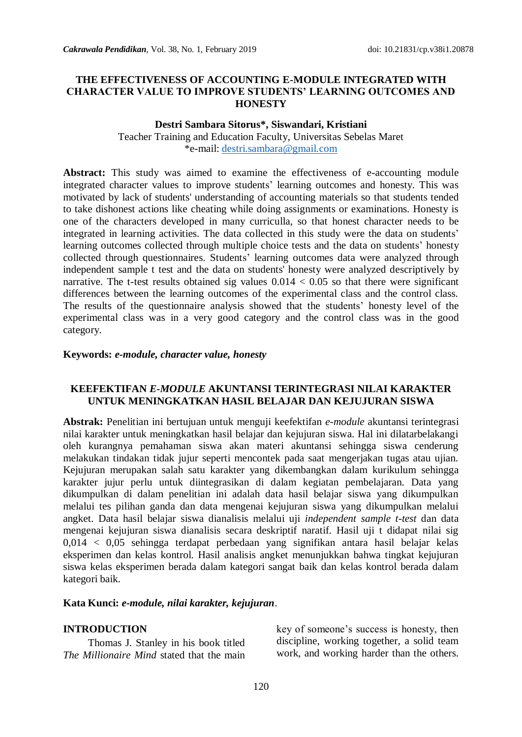### **THE EFFECTIVENESS OF ACCOUNTING E-MODULE INTEGRATED WITH CHARACTER VALUE TO IMPROVE STUDENTS' LEARNING OUTCOMES AND HONESTY**

#### **Destri Sambara Sitorus\*, Siswandari, Kristiani**

Teacher Training and Education Faculty, Universitas Sebelas Maret \*e-mail: [destri.sambara@gmail.com](mailto:destri.sambara@gmail.com)

**Abstract:** This study was aimed to examine the effectiveness of e-accounting module integrated character values to improve students' learning outcomes and honesty. This was motivated by lack of students' understanding of accounting materials so that students tended to take dishonest actions like cheating while doing assignments or examinations. Honesty is one of the characters developed in many curriculla, so that honest character needs to be integrated in learning activities. The data collected in this study were the data on students' learning outcomes collected through multiple choice tests and the data on students' honesty collected through questionnaires. Students' learning outcomes data were analyzed through independent sample t test and the data on students' honesty were analyzed descriptively by narrative. The t-test results obtained sig values  $0.014 < 0.05$  so that there were significant differences between the learning outcomes of the experimental class and the control class. The results of the questionnaire analysis showed that the students' honesty level of the experimental class was in a very good category and the control class was in the good category.

#### **Keywords:** *e-module, character value, honesty*

#### **KEEFEKTIFAN** *E-MODULE* **AKUNTANSI TERINTEGRASI NILAI KARAKTER UNTUK MENINGKATKAN HASIL BELAJAR DAN KEJUJURAN SISWA**

**Abstrak:** Penelitian ini bertujuan untuk menguji keefektifan *e-module* akuntansi terintegrasi nilai karakter untuk meningkatkan hasil belajar dan kejujuran siswa. Hal ini dilatarbelakangi oleh kurangnya pemahaman siswa akan materi akuntansi sehingga siswa cenderung melakukan tindakan tidak jujur seperti mencontek pada saat mengerjakan tugas atau ujian. Kejujuran merupakan salah satu karakter yang dikembangkan dalam kurikulum sehingga karakter jujur perlu untuk diintegrasikan di dalam kegiatan pembelajaran. Data yang dikumpulkan di dalam penelitian ini adalah data hasil belajar siswa yang dikumpulkan melalui tes pilihan ganda dan data mengenai kejujuran siswa yang dikumpulkan melalui angket. Data hasil belajar siswa dianalisis melalui uji *independent sample t-test* dan data mengenai kejujuran siswa dianalisis secara deskriptif naratif. Hasil uji t didapat nilai sig 0,014 < 0,05 sehingga terdapat perbedaan yang signifikan antara hasil belajar kelas eksperimen dan kelas kontrol. Hasil analisis angket menunjukkan bahwa tingkat kejujuran siswa kelas eksperimen berada dalam kategori sangat baik dan kelas kontrol berada dalam kategori baik.

#### **Kata Kunci:** *e-module, nilai karakter, kejujuran*.

#### **INTRODUCTION**

Thomas J. Stanley in his book titled *The Millionaire Mind* stated that the main key of someone's success is honesty, then discipline, working together, a solid team work, and working harder than the others.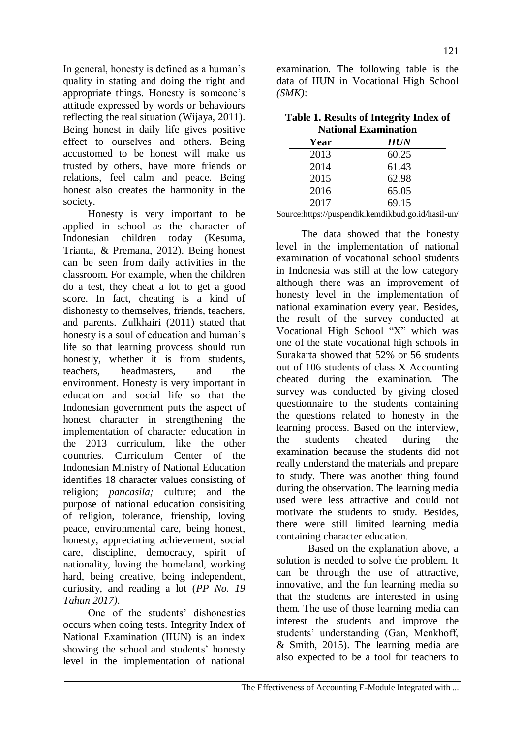In general, honesty is defined as a human's quality in stating and doing the right and appropriate things. Honesty is someone's attitude expressed by words or behaviours reflecting the real situation (Wijaya, 2011). Being honest in daily life gives positive effect to ourselves and others. Being accustomed to be honest will make us trusted by others, have more friends or relations, feel calm and peace. Being honest also creates the harmonity in the society.

Honesty is very important to be applied in school as the character of Indonesian children today (Kesuma, Trianta, & Premana, 2012). Being honest can be seen from daily activities in the classroom. For example, when the children do a test, they cheat a lot to get a good score. In fact, cheating is a kind of dishonesty to themselves, friends, teachers, and parents. Zulkhairi (2011) stated that honesty is a soul of education and human's life so that learning provcess should run honestly, whether it is from students, teachers, headmasters, and the environment. Honesty is very important in education and social life so that the Indonesian government puts the aspect of honest character in strengthening the implementation of character education in the 2013 curriculum, like the other countries. Curriculum Center of the Indonesian Ministry of National Education identifies 18 character values consisting of religion; *pancasila;* culture; and the purpose of national education consisiting of religion, tolerance, frienship, loving peace, environmental care, being honest, honesty, appreciating achievement, social care, discipline, democracy, spirit of nationality, loving the homeland, working hard, being creative, being independent, curiosity, and reading a lot (*PP No. 19 Tahun 2017)*.

One of the students' dishonesties occurs when doing tests. Integrity Index of National Examination (IIUN) is an index showing the school and students' honesty level in the implementation of national

examination. The following table is the data of IIUN in Vocational High School *(SMK)*:

| Table 1. Results of Integrity Index of |
|----------------------------------------|
| <b>National Examination</b>            |

| танонаг гжаннпанон |            |  |  |
|--------------------|------------|--|--|
| Year               | <b>HUN</b> |  |  |
| 2013               | 60.25      |  |  |
| 2014               | 61.43      |  |  |
| 2015               | 62.98      |  |  |
| 2016               | 65.05      |  |  |
| 2017               | 69.15      |  |  |

Source[:https://puspendik.kemdikbud.go.id/hasil-un/](https://puspendik.kemdikbud.go.id/hasil-un/)

The data showed that the honesty level in the implementation of national examination of vocational school students in Indonesia was still at the low category although there was an improvement of honesty level in the implementation of national examination every year. Besides, the result of the survey conducted at Vocational High School "X" which was one of the state vocational high schools in Surakarta showed that 52% or 56 students out of 106 students of class X Accounting cheated during the examination. The survey was conducted by giving closed questionnaire to the students containing the questions related to honesty in the learning process. Based on the interview, the students cheated during the examination because the students did not really understand the materials and prepare to study. There was another thing found during the observation. The learning media used were less attractive and could not motivate the students to study. Besides, there were still limited learning media containing character education.

Based on the explanation above, a solution is needed to solve the problem. It can be through the use of attractive, innovative, and the fun learning media so that the students are interested in using them. The use of those learning media can interest the students and improve the students' understanding (Gan, Menkhoff, & Smith, 2015). The learning media are also expected to be a tool for teachers to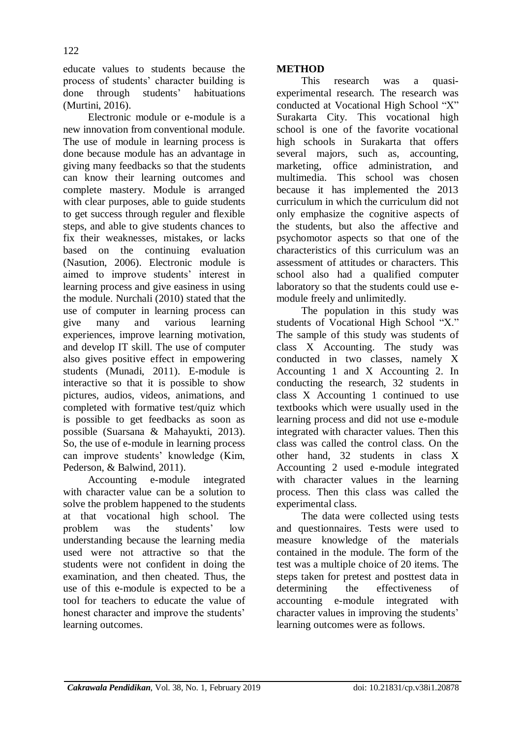educate values to students because the process of students' character building is done through students' habituations (Murtini, 2016).

Electronic module or e-module is a new innovation from conventional module. The use of module in learning process is done because module has an advantage in giving many feedbacks so that the students can know their learning outcomes and complete mastery. Module is arranged with clear purposes, able to guide students to get success through reguler and flexible steps, and able to give students chances to fix their weaknesses, mistakes, or lacks based on the continuing evaluation (Nasution, 2006). Electronic module is aimed to improve students' interest in learning process and give easiness in using the module. Nurchali (2010) stated that the use of computer in learning process can give many and various learning experiences, improve learning motivation, and develop IT skill. The use of computer also gives positive effect in empowering students (Munadi, 2011). E-module is interactive so that it is possible to show pictures, audios, videos, animations, and completed with formative test/quiz which is possible to get feedbacks as soon as possible (Suarsana & Mahayukti, 2013). So, the use of e-module in learning process can improve students' knowledge (Kim, Pederson, & Balwind, 2011).

Accounting e-module integrated with character value can be a solution to solve the problem happened to the students at that vocational high school. The problem was the students' low understanding because the learning media used were not attractive so that the students were not confident in doing the examination, and then cheated. Thus, the use of this e-module is expected to be a tool for teachers to educate the value of honest character and improve the students' learning outcomes.

# **METHOD**

This research was a quasiexperimental research. The research was conducted at Vocational High School "X" Surakarta City. This vocational high school is one of the favorite vocational high schools in Surakarta that offers several majors, such as, accounting, marketing, office administration, and multimedia. This school was chosen because it has implemented the 2013 curriculum in which the curriculum did not only emphasize the cognitive aspects of the students, but also the affective and psychomotor aspects so that one of the characteristics of this curriculum was an assessment of attitudes or characters. This school also had a qualified computer laboratory so that the students could use emodule freely and unlimitedly.

The population in this study was students of Vocational High School "X." The sample of this study was students of class X Accounting. The study was conducted in two classes, namely X Accounting 1 and X Accounting 2. In conducting the research, 32 students in class X Accounting 1 continued to use textbooks which were usually used in the learning process and did not use e-module integrated with character values. Then this class was called the control class. On the other hand, 32 students in class X Accounting 2 used e-module integrated with character values in the learning process. Then this class was called the experimental class.

The data were collected using tests and questionnaires. Tests were used to measure knowledge of the materials contained in the module. The form of the test was a multiple choice of 20 items. The steps taken for pretest and posttest data in determining the effectiveness of accounting e-module integrated with character values in improving the students' learning outcomes were as follows.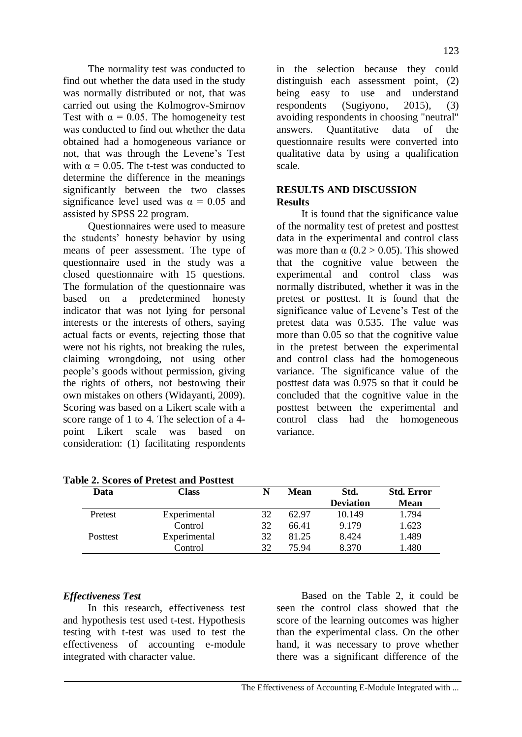The normality test was conducted to find out whether the data used in the study was normally distributed or not, that was carried out using the Kolmogrov-Smirnov Test with  $\alpha = 0.05$ . The homogeneity test was conducted to find out whether the data obtained had a homogeneous variance or not, that was through the Levene's Test with  $\alpha = 0.05$ . The t-test was conducted to determine the difference in the meanings significantly between the two classes significance level used was  $\alpha = 0.05$  and assisted by SPSS 22 program.

Questionnaires were used to measure the students' honesty behavior by using means of peer assessment. The type of questionnaire used in the study was a closed questionnaire with 15 questions. The formulation of the questionnaire was based on a predetermined honesty indicator that was not lying for personal interests or the interests of others, saying actual facts or events, rejecting those that were not his rights, not breaking the rules, claiming wrongdoing, not using other people's goods without permission, giving the rights of others, not bestowing their own mistakes on others (Widayanti, 2009). Scoring was based on a Likert scale with a score range of 1 to 4. The selection of a 4 point Likert scale was based on consideration: (1) facilitating respondents

in the selection because they could distinguish each assessment point, (2) being easy to use and understand respondents (Sugiyono, 2015), (3) avoiding respondents in choosing "neutral" answers. Quantitative data of the questionnaire results were converted into qualitative data by using a qualification scale.

## **RESULTS AND DISCUSSION Results**

It is found that the significance value of the normality test of pretest and posttest data in the experimental and control class was more than  $\alpha$  (0.2 > 0.05). This showed that the cognitive value between the experimental and control class was normally distributed, whether it was in the pretest or posttest. It is found that the significance value of Levene's Test of the pretest data was 0.535. The value was more than 0.05 so that the cognitive value in the pretest between the experimental and control class had the homogeneous variance. The significance value of the posttest data was 0.975 so that it could be concluded that the cognitive value in the posttest between the experimental and control class had the homogeneous variance.

| Data            | Class        | N  | Mean  | Std.             | <b>Std. Error</b> |
|-----------------|--------------|----|-------|------------------|-------------------|
|                 |              |    |       | <b>Deviation</b> | <b>Mean</b>       |
| Pretest         | Experimental | 32 | 62.97 | 10.149           | 1.794             |
|                 | Control      | 32 | 66.41 | 9.179            | 1.623             |
| <b>Posttest</b> | Experimental | 32 | 81.25 | 8.424            | 1.489             |
|                 | Control      | 32 | 75 94 | 8.370            | 1.480             |

**Table 2. Scores of Pretest and Posttest** 

# *Effectiveness Test*

In this research, effectiveness test and hypothesis test used t-test. Hypothesis testing with t-test was used to test the effectiveness of accounting e-module integrated with character value.

Based on the Table 2, it could be seen the control class showed that the score of the learning outcomes was higher than the experimental class. On the other hand, it was necessary to prove whether there was a significant difference of the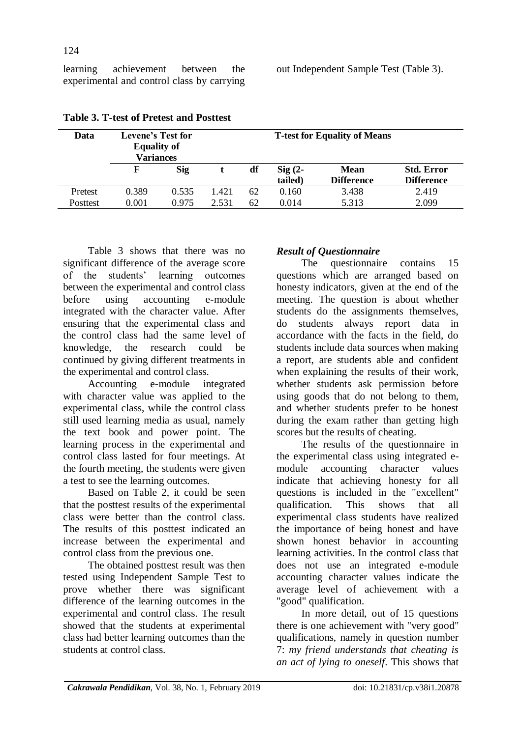learning achievement between the experimental and control class by carrying

| Data            | Levene's Test for<br><b>Equality of</b><br>Variances |       |       | <b>T-test for Equality of Means</b> |                               |                                  |                                        |
|-----------------|------------------------------------------------------|-------|-------|-------------------------------------|-------------------------------|----------------------------------|----------------------------------------|
|                 | F                                                    | Sig   |       | df                                  | $\mathrm{Sig}(2-)$<br>tailed) | <b>Mean</b><br><b>Difference</b> | <b>Std. Error</b><br><b>Difference</b> |
| Pretest         | 0.389                                                | 0.535 | 1.421 | 62                                  | 0.160                         | 3.438                            | 2.419                                  |
| <b>Posttest</b> | 0.001                                                | 0.975 | 2.531 | 62                                  | 0.014                         | 5.313                            | 2.099                                  |

### **Table 3. T-test of Pretest and Posttest**

Table 3 shows that there was no significant difference of the average score of the students' learning outcomes between the experimental and control class before using accounting e-module integrated with the character value. After ensuring that the experimental class and the control class had the same level of knowledge, the research could be continued by giving different treatments in the experimental and control class.

Accounting e-module integrated with character value was applied to the experimental class, while the control class still used learning media as usual, namely the text book and power point. The learning process in the experimental and control class lasted for four meetings. At the fourth meeting, the students were given a test to see the learning outcomes.

Based on Table 2, it could be seen that the posttest results of the experimental class were better than the control class. The results of this posttest indicated an increase between the experimental and control class from the previous one.

The obtained posttest result was then tested using Independent Sample Test to prove whether there was significant difference of the learning outcomes in the experimental and control class. The result showed that the students at experimental class had better learning outcomes than the students at control class.

# *Result of Questionnaire*

The questionnaire contains 15 questions which are arranged based on honesty indicators, given at the end of the meeting. The question is about whether students do the assignments themselves, do students always report data in accordance with the facts in the field, do students include data sources when making a report, are students able and confident when explaining the results of their work, whether students ask permission before using goods that do not belong to them, and whether students prefer to be honest during the exam rather than getting high scores but the results of cheating.

The results of the questionnaire in the experimental class using integrated emodule accounting character values indicate that achieving honesty for all questions is included in the "excellent"<br>qualification. This shows that all qualification. This shows that all experimental class students have realized the importance of being honest and have shown honest behavior in accounting learning activities. In the control class that does not use an integrated e-module accounting character values indicate the average level of achievement with a "good" qualification.

In more detail, out of 15 questions there is one achievement with "very good" qualifications, namely in question number 7: *my friend understands that cheating is an act of lying to oneself*. This shows that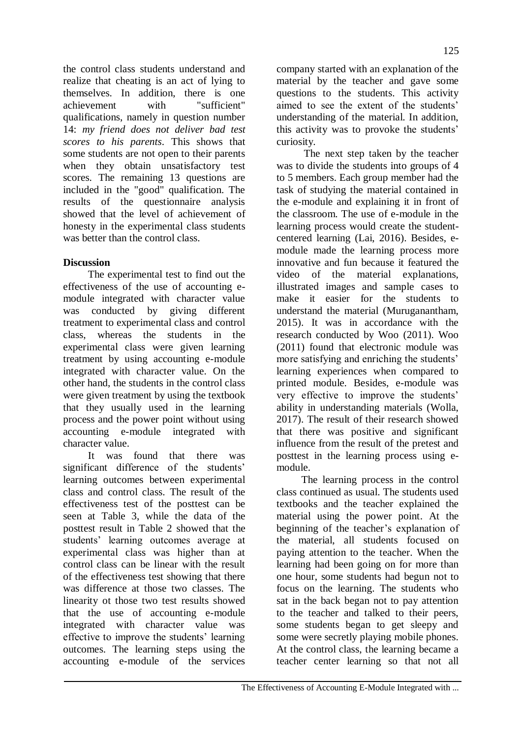the control class students understand and realize that cheating is an act of lying to themselves. In addition, there is one achievement with "sufficient" qualifications, namely in question number 14: *my friend does not deliver bad test scores to his parents*. This shows that some students are not open to their parents when they obtain unsatisfactory test scores. The remaining 13 questions are included in the "good" qualification. The results of the questionnaire analysis showed that the level of achievement of honesty in the experimental class students was better than the control class.

# **Discussion**

The experimental test to find out the effectiveness of the use of accounting emodule integrated with character value was conducted by giving different treatment to experimental class and control class, whereas the students in the experimental class were given learning treatment by using accounting e-module integrated with character value. On the other hand, the students in the control class were given treatment by using the textbook that they usually used in the learning process and the power point without using accounting e-module integrated with character value.

It was found that there was significant difference of the students' learning outcomes between experimental class and control class. The result of the effectiveness test of the posttest can be seen at Table 3, while the data of the posttest result in Table 2 showed that the students' learning outcomes average at experimental class was higher than at control class can be linear with the result of the effectiveness test showing that there was difference at those two classes. The linearity ot those two test results showed that the use of accounting e-module integrated with character value was effective to improve the students' learning outcomes. The learning steps using the accounting e-module of the services

company started with an explanation of the material by the teacher and gave some questions to the students. This activity aimed to see the extent of the students' understanding of the material. In addition, this activity was to provoke the students' curiosity.

The next step taken by the teacher was to divide the students into groups of 4 to 5 members. Each group member had the task of studying the material contained in the e-module and explaining it in front of the classroom. The use of e-module in the learning process would create the studentcentered learning (Lai, 2016). Besides, emodule made the learning process more innovative and fun because it featured the video of the material explanations, illustrated images and sample cases to make it easier for the students to understand the material (Muruganantham, 2015). It was in accordance with the research conducted by Woo (2011). Woo (2011) found that electronic module was more satisfying and enriching the students' learning experiences when compared to printed module. Besides, e-module was very effective to improve the students' ability in understanding materials (Wolla, 2017). The result of their research showed that there was positive and significant influence from the result of the pretest and posttest in the learning process using emodule.

The learning process in the control class continued as usual. The students used textbooks and the teacher explained the material using the power point. At the beginning of the teacher's explanation of the material, all students focused on paying attention to the teacher. When the learning had been going on for more than one hour, some students had begun not to focus on the learning. The students who sat in the back began not to pay attention to the teacher and talked to their peers, some students began to get sleepy and some were secretly playing mobile phones. At the control class, the learning became a teacher center learning so that not all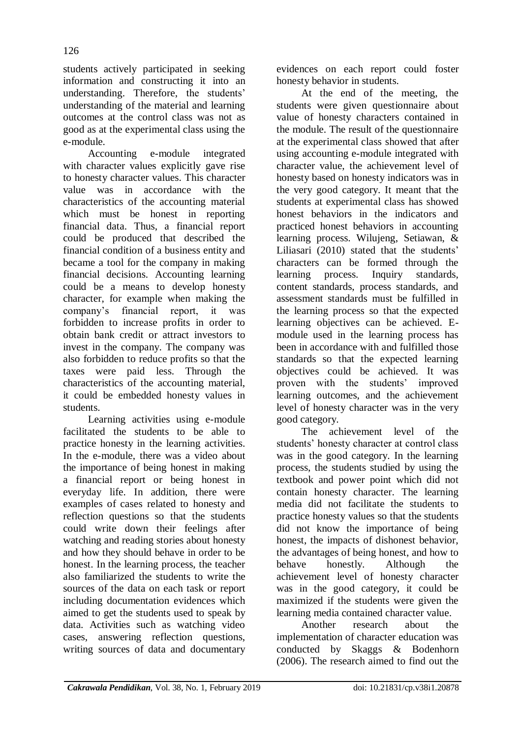students actively participated in seeking information and constructing it into an understanding. Therefore, the students' understanding of the material and learning outcomes at the control class was not as good as at the experimental class using the e-module.

Accounting e-module integrated with character values explicitly gave rise to honesty character values. This character value was in accordance with the characteristics of the accounting material which must be honest in reporting financial data. Thus, a financial report could be produced that described the financial condition of a business entity and became a tool for the company in making financial decisions. Accounting learning could be a means to develop honesty character, for example when making the company's financial report, it was forbidden to increase profits in order to obtain bank credit or attract investors to invest in the company. The company was also forbidden to reduce profits so that the taxes were paid less. Through the characteristics of the accounting material, it could be embedded honesty values in students.

Learning activities using e-module facilitated the students to be able to practice honesty in the learning activities. In the e-module, there was a video about the importance of being honest in making a financial report or being honest in everyday life. In addition, there were examples of cases related to honesty and reflection questions so that the students could write down their feelings after watching and reading stories about honesty and how they should behave in order to be honest. In the learning process, the teacher also familiarized the students to write the sources of the data on each task or report including documentation evidences which aimed to get the students used to speak by data. Activities such as watching video cases, answering reflection questions, writing sources of data and documentary

evidences on each report could foster honesty behavior in students.

At the end of the meeting, the students were given questionnaire about value of honesty characters contained in the module. The result of the questionnaire at the experimental class showed that after using accounting e-module integrated with character value, the achievement level of honesty based on honesty indicators was in the very good category. It meant that the students at experimental class has showed honest behaviors in the indicators and practiced honest behaviors in accounting learning process. Wilujeng, Setiawan, & Liliasari (2010) stated that the students' characters can be formed through the learning process. Inquiry standards, content standards, process standards, and assessment standards must be fulfilled in the learning process so that the expected learning objectives can be achieved. Emodule used in the learning process has been in accordance with and fulfilled those standards so that the expected learning objectives could be achieved. It was proven with the students' improved learning outcomes, and the achievement level of honesty character was in the very good category.

The achievement level of the students' honesty character at control class was in the good category. In the learning process, the students studied by using the textbook and power point which did not contain honesty character. The learning media did not facilitate the students to practice honesty values so that the students did not know the importance of being honest, the impacts of dishonest behavior, the advantages of being honest, and how to behave honestly. Although the achievement level of honesty character was in the good category, it could be maximized if the students were given the learning media contained character value.

Another research about the implementation of character education was conducted by Skaggs & Bodenhorn (2006). The research aimed to find out the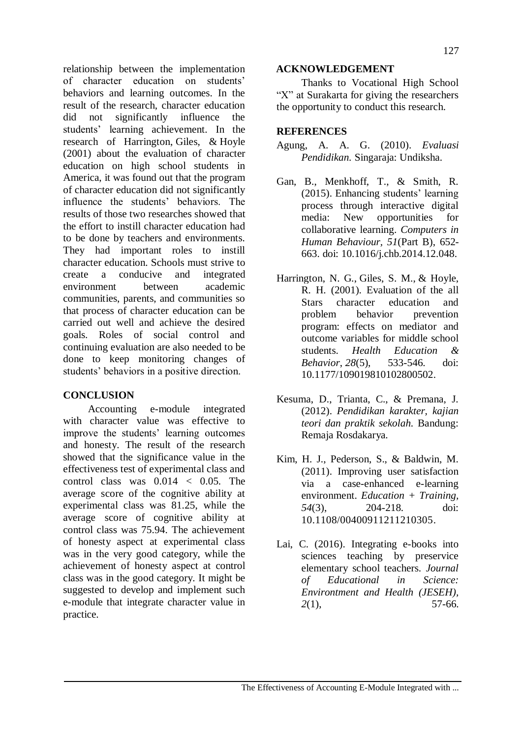relationship between the implementation of character education on students' behaviors and learning outcomes. In the result of the research, character education did not significantly influence the students' learning achievement. In the research of Harrington, [Giles,](https://journals.sagepub.com/action/doSearch?target=default&ContribAuthorStored=Giles%2C+Steven+M) & [Hoyle](https://journals.sagepub.com/action/doSearch?target=default&ContribAuthorStored=Hoyle%2C+Rick+H) (2001) about the evaluation of character education on high school students in America, it was found out that the program of character education did not significantly influence the students' behaviors. The results of those two researches showed that the effort to instill character education had to be done by teachers and environments. They had important roles to instill character education. Schools must strive to create a conducive and integrated environment between academic communities, parents, and communities so that process of character education can be carried out well and achieve the desired goals. Roles of social control and continuing evaluation are also needed to be done to keep monitoring changes of students' behaviors in a positive direction.

# **CONCLUSION**

Accounting e-module integrated with character value was effective to improve the students' learning outcomes and honesty. The result of the research showed that the significance value in the effectiveness test of experimental class and control class was  $0.014 < 0.05$ . The average score of the cognitive ability at experimental class was 81.25, while the average score of cognitive ability at control class was 75.94. The achievement of honesty aspect at experimental class was in the very good category, while the achievement of honesty aspect at control class was in the good category. It might be suggested to develop and implement such e-module that integrate character value in practice.

#### **ACKNOWLEDGEMENT**

Thanks to Vocational High School "X" at Surakarta for giving the researchers the opportunity to conduct this research.

## **REFERENCES**

- Agung, A. A. G. (2010). *Evaluasi Pendidikan.* Singaraja: Undiksha.
- Gan, B., Menkhoff, T., & Smith, R. (2015). Enhancing students' learning process through interactive digital media: New opportunities for collaborative learning. *Computers in Human Behaviour, 51*(Part B), 652- 663. doi: 10.1016/j.chb.2014.12.048.
- [Harrington,](https://journals.sagepub.com/action/doSearch?target=default&ContribAuthorStored=Harrington%2C+Nancy+G) N. G., [Giles,](https://journals.sagepub.com/action/doSearch?target=default&ContribAuthorStored=Giles%2C+Steven+M) S. M., & [Hoyle,](https://journals.sagepub.com/action/doSearch?target=default&ContribAuthorStored=Hoyle%2C+Rick+H) R. H. (2001). Evaluation of the all Stars character education and<br>problem behavior prevention problem behavior prevention program: effects on mediator and outcome variables for middle school students. *Health [Education](https://www.researchgate.net/journal/1090-1981_Health_Education_Behavior) & [Behavior](https://www.researchgate.net/journal/1090-1981_Health_Education_Behavior)*, *28*(5), 533-546. doi: 10.1177/109019810102800502.
- Kesuma, D., Trianta, C., & Premana, J. (2012). *Pendidikan karakter, kajian teori dan praktik sekolah.* Bandung: Remaja Rosdakarya.
- Kim, H. J., Pederson, S., & Baldwin, M. (2011). Improving user satisfaction via a case-enhanced e-learning environment. *Education + Training, 54*(3), 204-218. doi: [10.1108/00400911211210305.](https://doi.org/10.1108/00400911211210305)
- Lai, C. (2016). Integrating e-books into sciences teaching by preservice elementary school teachers. *Journal of Educational in Science: Environtment and Health (JESEH), 2*(1), 57-66.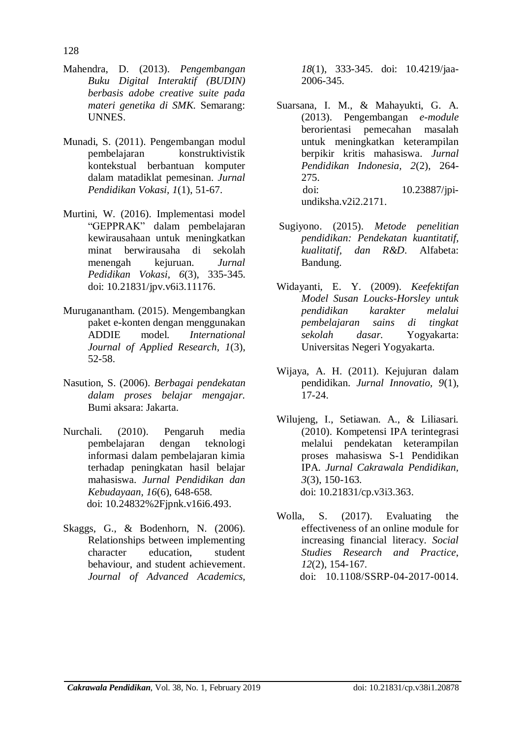- Mahendra, D. (2013). *Pengembangan Buku Digital Interaktif (BUDIN) berbasis adobe creative suite pada materi genetika di SMK.* Semarang: UNNES.
- Munadi, S. (2011). Pengembangan modul pembelajaran konstruktivistik kontekstual berbantuan komputer dalam matadiklat pemesinan. *Jurnal Pendidikan Vokasi, 1*(1), 51-67.
- Murtini, W. (2016). Implementasi model "GEPPRAK" dalam pembelajaran kewirausahaan untuk meningkatkan minat berwirausaha di sekolah menengah kejuruan. *Jurnal Pedidikan Vokasi*, *6*(3), 335-345. doi: [10.21831/jpv.v6i3.11176.](https://doi.org/10.21831/jpv.v6i3.11176)
- Muruganantham. (2015). Mengembangkan paket e-konten dengan menggunakan ADDIE model. *International Journal of Applied Research, 1*(3), 52-58.
- Nasution, S. (2006). *Berbagai pendekatan dalam proses belajar mengajar.*  Bumi aksara: Jakarta.
- Nurchali. (2010). Pengaruh media pembelajaran dengan teknologi informasi dalam pembelajaran kimia terhadap peningkatan hasil belajar mahasiswa. *Jurnal Pendidikan dan Kebudayaan, 16*(6), 648-658. doi: [10.24832%2Fjpnk.v16i6.493.](http://dx.doi.org/10.24832%2Fjpnk.v16i6.493)
- Skaggs, G., & Bodenhorn, N. (2006). Relationships between implementing character education, student behaviour, and student achievement. *Journal of Advanced Academics,*

*18*(1), 333-345. doi: [10.4219/jaa-](https://doi.org/10.4219%2Fjaa-2006-345)[2006-345.](https://doi.org/10.4219%2Fjaa-2006-345)

- Suarsana, I. M., & Mahayukti, G. A. (2013). Pengembangan *e-module* berorientasi pemecahan masalah untuk meningkatkan keterampilan berpikir kritis mahasiswa. *Jurnal Pendidikan Indonesia, 2*(2), 264- 275. doi: [10.23887/jpi](http://dx.doi.org/10.23887/jpi-undiksha.v2i2.2171)[undiksha.v2i2.2171.](http://dx.doi.org/10.23887/jpi-undiksha.v2i2.2171)
- Sugiyono. (2015). *Metode penelitian pendidikan: Pendekatan kuantitatif, kualitatif, dan R&D*. Alfabeta: Bandung.
- Widayanti, E. Y. (2009). *Keefektifan Model Susan Loucks-Horsley untuk pendidikan karakter melalui pembelajaran sains di tingkat sekolah dasar.* Yogyakarta: Universitas Negeri Yogyakarta.
- Wijaya, A. H. (2011). Kejujuran dalam pendidikan. *Jurnal Innovatio, 9*(1), 17-24.
- Wilujeng, I., Setiawan. A., & Liliasari. (2010). Kompetensi IPA terintegrasi melalui pendekatan keterampilan proses mahasiswa S-1 Pendidikan IPA. *Jurnal Cakrawala Pendidikan, 3*(3), 150-163. doi: 10.21831/cp.v3i3.363.
- Wolla, S. (2017). Evaluating the effectiveness of an online module for increasing financial literacy. *Social Studies Research and Practice*, *12*(2), 154-167. doi: [10.1108/SSRP-04-2017-0014.](https://doi.org/10.1108/SSRP-04-2017-0014)